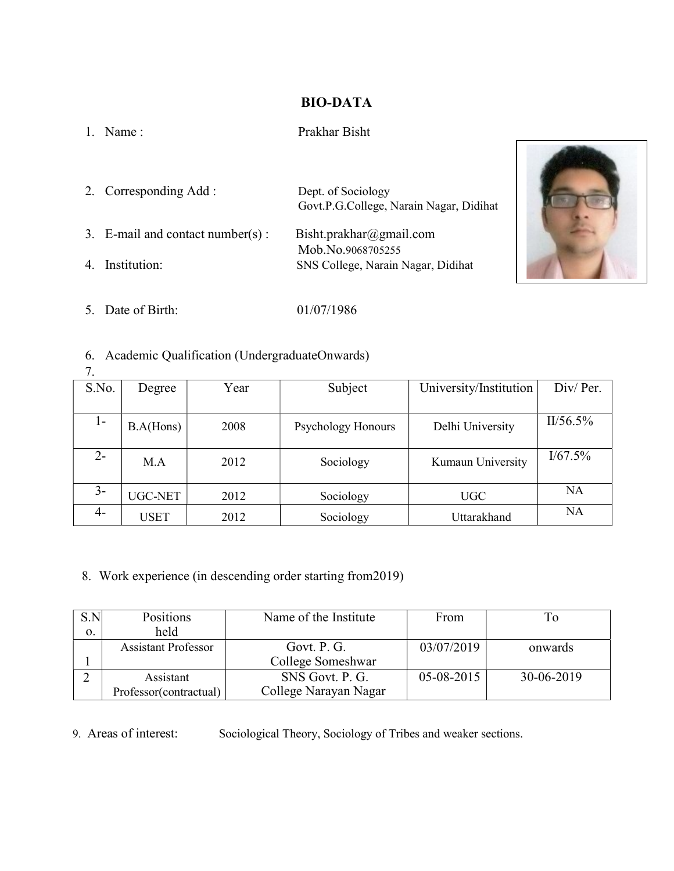### BIO-DATA

#### 1. Name : Prakhar Bisht

2. Corresponding Add : Dept. of Sociology Govt.P.G.College, Narain Nagar, Didihat 3. E-mail and contact number(s) : Bisht.prakhar@gmail.com Mob.No.9068705255 4. Institution: SNS College, Narain Nagar, Didihat



5. Date of Birth: 01/07/1986

## 6. Academic Qualification (UndergraduateOnwards)

| 7.    |                |      |                           |                        |           |
|-------|----------------|------|---------------------------|------------------------|-----------|
| S.No. | Degree         | Year | Subject                   | University/Institution | Div/Per.  |
|       |                |      |                           |                        |           |
| $1 -$ | B.A(Hons)      | 2008 | <b>Psychology Honours</b> | Delhi University       | II/56.5%  |
|       |                |      |                           |                        |           |
| $2 -$ | M.A            | 2012 | Sociology                 | Kumaun University      | I/67.5%   |
|       |                |      |                           |                        |           |
| $3-$  | <b>UGC-NET</b> | 2012 | Sociology                 | <b>UGC</b>             | <b>NA</b> |
| 4-    | <b>USET</b>    | 2012 | Sociology                 | Uttarakhand            | NA        |

8. Work experience (in descending order starting from2019)

| S.N | Positions                  | Name of the Institute | From         |            |
|-----|----------------------------|-----------------------|--------------|------------|
| 0.  | held                       |                       |              |            |
|     | <b>Assistant Professor</b> | Govt. P. G.           | 03/07/2019   | onwards    |
|     |                            | College Someshwar     |              |            |
|     | Assistant                  | SNS Govt. P. G.       | $05-08-2015$ | 30-06-2019 |
|     | Professor(contractual)     | College Narayan Nagar |              |            |

## 9. Areas of interest: Sociological Theory, Sociology of Tribes and weaker sections.